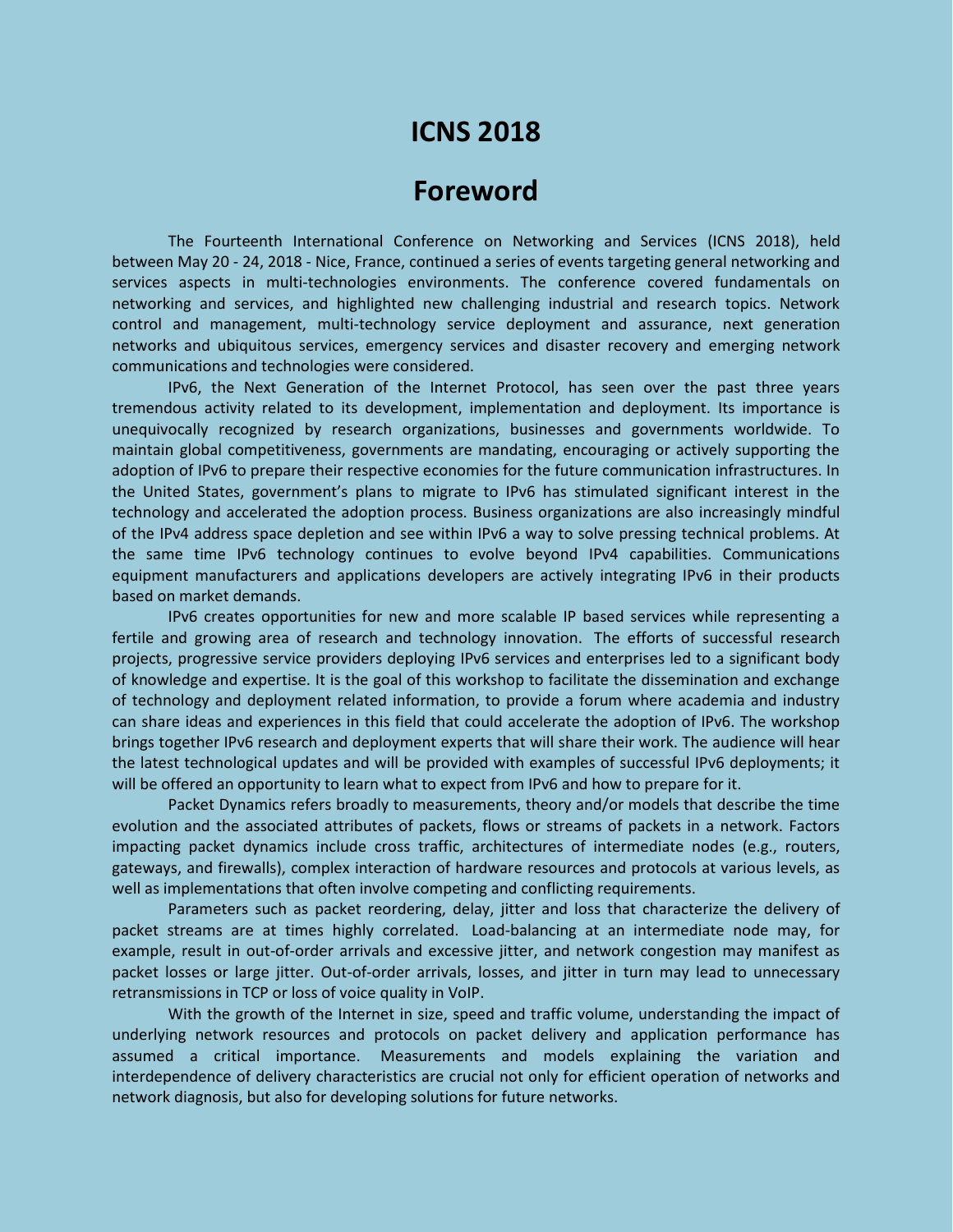# **ICNS 2018**

## **Foreword**

The Fourteenth International Conference on Networking and Services (ICNS 2018), held between May 20 - 24, 2018 - Nice, France, continued a series of events targeting general networking and services aspects in multi-technologies environments. The conference covered fundamentals on networking and services, and highlighted new challenging industrial and research topics. Network control and management, multi-technology service deployment and assurance, next generation networks and ubiquitous services, emergency services and disaster recovery and emerging network communications and technologies were considered.

IPv6, the Next Generation of the Internet Protocol, has seen over the past three years tremendous activity related to its development, implementation and deployment. Its importance is unequivocally recognized by research organizations, businesses and governments worldwide. To maintain global competitiveness, governments are mandating, encouraging or actively supporting the adoption of IPv6 to prepare their respective economies for the future communication infrastructures. In the United States, government's plans to migrate to IPv6 has stimulated significant interest in the technology and accelerated the adoption process. Business organizations are also increasingly mindful of the IPv4 address space depletion and see within IPv6 a way to solve pressing technical problems. At the same time IPv6 technology continues to evolve beyond IPv4 capabilities. Communications equipment manufacturers and applications developers are actively integrating IPv6 in their products based on market demands.

IPv6 creates opportunities for new and more scalable IP based services while representing a fertile and growing area of research and technology innovation. The efforts of successful research projects, progressive service providers deploying IPv6 services and enterprises led to a significant body of knowledge and expertise. It is the goal of this workshop to facilitate the dissemination and exchange of technology and deployment related information, to provide a forum where academia and industry can share ideas and experiences in this field that could accelerate the adoption of IPv6. The workshop brings together IPv6 research and deployment experts that will share their work. The audience will hear the latest technological updates and will be provided with examples of successful IPv6 deployments; it will be offered an opportunity to learn what to expect from IPv6 and how to prepare for it.

Packet Dynamics refers broadly to measurements, theory and/or models that describe the time evolution and the associated attributes of packets, flows or streams of packets in a network. Factors impacting packet dynamics include cross traffic, architectures of intermediate nodes (e.g., routers, gateways, and firewalls), complex interaction of hardware resources and protocols at various levels, as well as implementations that often involve competing and conflicting requirements.

Parameters such as packet reordering, delay, jitter and loss that characterize the delivery of packet streams are at times highly correlated. Load-balancing at an intermediate node may, for example, result in out-of-order arrivals and excessive jitter, and network congestion may manifest as packet losses or large jitter. Out-of-order arrivals, losses, and jitter in turn may lead to unnecessary retransmissions in TCP or loss of voice quality in VoIP.

With the growth of the Internet in size, speed and traffic volume, understanding the impact of underlying network resources and protocols on packet delivery and application performance has assumed a critical importance. Measurements and models explaining the variation and interdependence of delivery characteristics are crucial not only for efficient operation of networks and network diagnosis, but also for developing solutions for future networks.